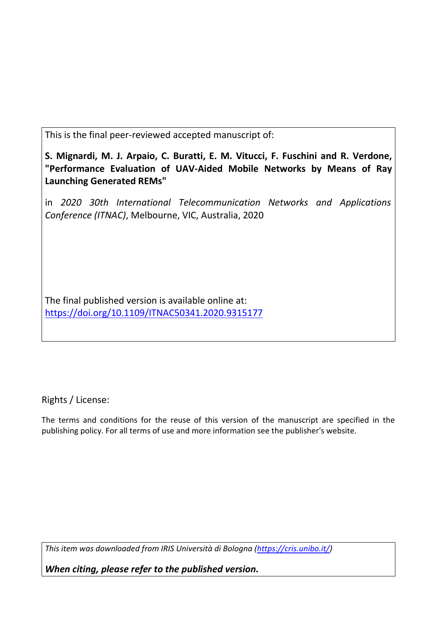This is the final peer-reviewed accepted manuscript of:

S. Mignardi, M. J. Arpaio, C. Buratti, E. M. Vitucci, F. Fuschini and R. Verdone, "Performance Evaluation of UAV-Aided Mobile Networks by Means of Ray Launching Generated REMs"

in *2020 30th International Telecommunication Networks and Applications Conference (ITNAC)*, Melbourne, VIC, Australia, 2020

The final published version is available online at: https://doi.org/10.1109/ITNAC50341.2020.9315177

Rights / License:

The terms and conditions for the reuse of this version of the manuscript are specified in the publishing policy. For all terms of use and more information see the publisher's website.

*This item was downloaded from IRIS Università di Bologna (https://cris.unibo.it/)*

*When citing, please refer to the published version.*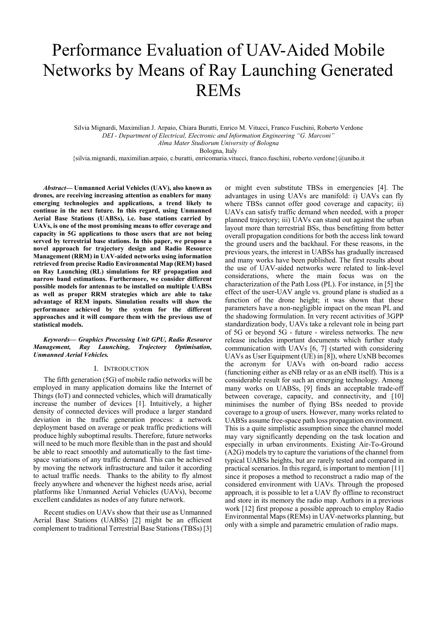# Performance Evaluation of UAV-Aided Mobile Networks by Means of Ray Launching Generated REMs

Silvia Mignardi, Maximilian J. Arpaio, Chiara Buratti, Enrico M. Vitucci, Franco Fuschini, Roberto Verdone *DEI - Department of Electrical, Electronic and Information Engineering "G. Marconi" Alma Mater Studiorum University of Bologna*  Bologna, Italy

{silvia.mignardi, maximilian.arpaio, c.buratti, enricomaria.vitucci, franco.fuschini, roberto.verdone}@unibo.it

*Abstract***— Unmanned Aerial Vehicles (UAV), also known as drones, are receiving increasing attention as enablers for many emerging technologies and applications, a trend likely to continue in the next future. In this regard, using Unmanned Aerial Base Stations (UABSs), i.e. base stations carried by UAVs, is one of the most promising means to offer coverage and capacity in 5G applications to those users that are not being served by terrestrial base stations. In this paper, we propose a novel approach for trajectory design and Radio Resource Management (RRM) in UAV-aided networks using information retrieved from precise Radio Environmental Map (REM) based on Ray Launching (RL) simulations for RF propagation and narrow band estimations. Furthermore, we consider different possible models for antennas to be installed on multiple UABSs as well as proper RRM strategies which are able to take advantage of REM inputs. Simulation results will show the performance achieved by the system for the different approaches and it will compare them with the previous use of statistical models.**

# *Keywords— Graphics Processing Unit GPU, Radio Resource Management, Ray Launching, Trajectory Optimisation, Unmanned Aerial Vehicles.*

## I. INTRODUCTION

The fifth generation (5G) of mobile radio networks will be employed in many application domains like the Internet of Things (IoT) and connected vehicles, which will dramatically increase the number of devices [1]. Intuitively, a higher density of connected devices will produce a larger standard deviation in the traffic generation process: a network deployment based on average or peak traffic predictions will produce highly suboptimal results. Therefore, future networks will need to be much more flexible than in the past and should be able to react smoothly and automatically to the fast timespace variations of any traffic demand. This can be achieved by moving the network infrastructure and tailor it according to actual traffic needs. Thanks to the ability to fly almost freely anywhere and whenever the highest needs arise, aerial platforms like Unmanned Aerial Vehicles (UAVs), become excellent candidates as nodes of any future network.

Recent studies on UAVs show that their use as Unmanned Aerial Base Stations (UABSs) [2] might be an efficient complement to traditional Terrestrial Base Stations (TBSs) [3] or might even substitute TBSs in emergencies [4]. The advantages in using UAVs are manifold: i) UAVs can fly where TBSs cannot offer good coverage and capacity; ii) UAVs can satisfy traffic demand when needed, with a proper planned trajectory; iii) UAVs can stand out against the urban layout more than terrestrial BSs, thus benefitting from better overall propagation conditions for both the access link toward the ground users and the backhaul. For these reasons, in the previous years, the interest in UABSs has gradually increased and many works have been published. The first results about the use of UAV-aided networks were related to link-level considerations, where the main focus was on the characterization of the Path Loss (PL). For instance, in [5] the effect of the user-UAV angle vs. ground plane is studied as a function of the drone height; it was shown that these parameters have a non-negligible impact on the mean PL and the shadowing formulation. In very recent activities of 3GPP standardization body, UAVs take a relevant role in being part of 5G or beyond 5G - future - wireless networks. The new release includes important documents which further study communication with UAVs [6, 7] (started with considering UAVs as User Equipment (UE) in [8]), where UxNB becomes the acronym for UAVs with on-board radio access (functioning either as eNB relay or as an eNB itself). This is a considerable result for such an emerging technology. Among many works on UABSs, [9] finds an acceptable trade-off between coverage, capacity, and connectivity, and [10] minimises the number of flying BSs needed to provide coverage to a group of users. However, many works related to UABSs assume free-space path loss propagation environment. This is a quite simplistic assumption since the channel model may vary significantly depending on the task location and especially in urban environments. Existing Air-To-Ground (A2G) models try to capture the variations of the channel from typical UABSs heights, but are rarely tested and compared in practical scenarios. In this regard, is important to mention [11] since it proposes a method to reconstruct a radio map of the considered environment with UAVs. Through the proposed approach, it is possible to let a UAV fly offline to reconstruct and store in its memory the radio map. Authors in a previous work [12] first propose a possible approach to employ Radio Environmental Maps (REMs) in UAV-networks planning, but only with a simple and parametric emulation of radio maps.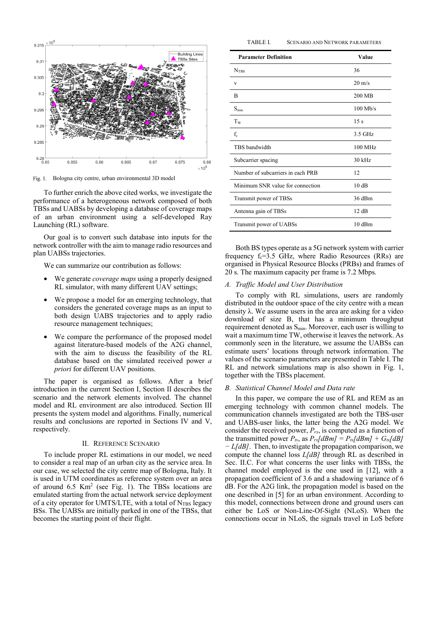

Fig. 1. Bologna city centre, urban environmental 3D model

To further enrich the above cited works, we investigate the performance of a heterogeneous network composed of both TBSs and UABSs by developing a database of coverage maps of an urban environment using a self-developed Ray Launching (RL) software.

Our goal is to convert such database into inputs for the network controller with the aim to manage radio resources and plan UABSs trajectories.

We can summarize our contribution as follows:

- We generate *coverage maps* using a properly designed RL simulator, with many different UAV settings;
- We propose a model for an emerging technology, that considers the generated coverage maps as an input to both design UABS trajectories and to apply radio resource management techniques;
- We compare the performance of the proposed model against literature-based models of the A2G channel, with the aim to discuss the feasibility of the RL database based on the simulated received power *a priori* for different UAV positions.

The paper is organised as follows. After a brief introduction in the current Section I, Section II describes the scenario and the network elements involved. The channel model and RL environment are also introduced. Section III presents the system model and algorithms. Finally, numerical results and conclusions are reported in Sections IV and V, respectively.

## II. REFERENCE SCENARIO

To include proper RL estimations in our model, we need to consider a real map of an urban city as the service area. In our case, we selected the city centre map of Bologna, Italy. It is used in UTM coordinates as reference system over an area of around 6.5 Km2 (see Fig. 1). The TBSs locations are emulated starting from the actual network service deployment of a city operator for UMTS/LTE, with a total of  $N<sub>TBS</sub>$  legacy BSs. The UABSs are initially parked in one of the TBSs, that becomes the starting point of their flight.

| TABLE L | <b>SCENARIO AND NETWORK PARAMETERS</b> |
|---------|----------------------------------------|
|---------|----------------------------------------|

| <b>Parameter Definition</b>       | Value            |
|-----------------------------------|------------------|
| N <sub>TBS</sub>                  | 36               |
| V                                 | $20 \text{ m/s}$ |
| $\overline{B}$                    | 200 MB           |
| $S_{\rm min}$                     | $100$ Mb/s       |
| $T_{W}$                           | 15 <sub>s</sub>  |
| $f_c$                             | 3.5 GHz          |
| TBS bandwidth                     | 100 MHz          |
| Subcarrier spacing                | $30$ kHz         |
| Number of subcarriers in each PRB | 12               |
| Minimum SNR value for connection  | 10dB             |
| Transmit power of TBSs            | 36 dBm           |
| Antenna gain of TBSs              | 12 dB            |
| Transmit power of UABSs           | 10dBm            |

Both BS types operate as a 5G network system with carrier frequency  $f_c=3.5$  GHz, where Radio Resources (RRs) are organised in Physical Resource Blocks (PRBs) and frames of 20 s. The maximum capacity per frame is 7.2 Mbps.

## *A. Traffic Model and User Distribution*

To comply with RL simulations, users are randomly distributed in the outdoor space of the city centre with a mean density λ. We assume users in the area are asking for a video download of size B, that has a minimum throughput requirement denoted as Smin. Moreover, each user is willing to wait a maximum time TW, otherwise it leaves the network. As commonly seen in the literature, we assume the UABSs can estimate users' locations through network information. The values of the scenario parameters are presented in Table I. The RL and network simulations map is also shown in Fig. 1, together with the TBSs placement.

#### *B. Statistical Channel Model and Data rate*

In this paper, we compare the use of RL and REM as an emerging technology with common channel models. The communication channels investigated are both the TBS-user and UABS-user links, the latter being the A2G model. We consider the received power,  $P_{rx}$ , is computed as a function of the transmitted power  $P_{tx}$ , as  $P_{rx}/dBm = P_{tx}/dBm + G_{tx}/dB$ *− L[dB]*. Then, to investigate the propagation comparison, we compute the channel loss *L[dB]* through RL as described in Sec. II.C. For what concerns the user links with TBSs, the channel model employed is the one used in [12], with a propagation coefficient of 3.6 and a shadowing variance of 6 dB. For the A2G link, the propagation model is based on the one described in [5] for an urban environment. According to this model, connections between drone and ground users can either be LoS or Non-Line-Of-Sight (NLoS). When the connections occur in NLoS, the signals travel in LoS before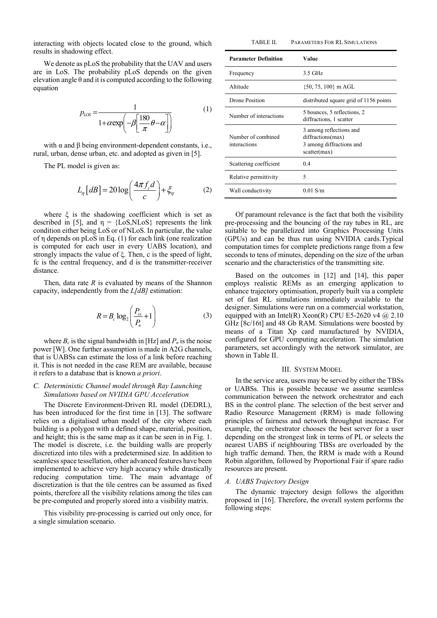interacting with objects located close to the ground, which results in shadowing effect.

We denote as pLoS the probability that the UAV and users are in LoS. The probability pLoS depends on the given elevation angle  $\theta$  and it is computed according to the following equation

$$
p_{LOS} = \frac{1}{1 + \alpha \exp\left(-\beta \left[\frac{180}{\pi} \theta - \alpha\right]\right)}
$$
(1)

with  $\alpha$  and  $\beta$  being environment-dependent constants, i.e., rural, urban, dense urban, etc. and adopted as given in [5].

The PL model is given as:

$$
L_{\eta}[dB] = 20\log\left(\frac{4\pi f_c d}{c}\right) + \xi_{\eta}
$$
 (2)

where  $\xi$  is the shadowing coefficient which is set as described in [5], and  $\eta = \{LoS, NLoS\}$  represents the link condition either being LoS or of NLoS. In particular, the value of η depends on pLoS in Eq. (1) for each link (one realization is computed for each user in every UABS location), and strongly impacts the value of ξ. Then, c is the speed of light, fc is the central frequency, and d is the transmitter-receiver distance.

Then, data rate *R* is evaluated by means of the Shannon capacity, independently from the *L[dB]* estimation:

$$
R = B_c \log_2 \left( \frac{P_{rx}}{P_n} + 1 \right) \tag{3}
$$

where  $B_c$  is the signal bandwidth in [Hz] and  $P_n$  is the noise power [W]. One further assumption is made in A2G channels, that is UABSs can estimate the loss of a link before reaching it. This is not needed in the case REM are available, because it refers to a database that is known *a priori*.

# *C. Deterministic Channel model through Ray Launching Simulations based on NVIDIA GPU Acceleration*

The Discrete Environment-Driven RL model (DEDRL), has been introduced for the first time in [13]. The software relies on a digitalised urban model of the city where each building is a polygon with a defined shape, material, position, and height; this is the same map as it can be seen in in Fig. 1. The model is discrete, i.e. the building walls are properly discretized into tiles with a predetermined size. In addition to seamless space tessellation, other advanced features have been implemented to achieve very high accuracy while drastically reducing computation time. The main advantage of discretization is that the tile centres can be assumed as fixed points, therefore all the visibility relations among the tiles can be pre-computed and properly stored into a visibility matrix.

This visibility pre-processing is carried out only once, for a single simulation scenario.

| TABLE II.<br>PARAMETERS FOR RL SIMULATIONS |  |
|--------------------------------------------|--|
|--------------------------------------------|--|

| <b>Parameter Definition</b>        | Value                                                                                    |
|------------------------------------|------------------------------------------------------------------------------------------|
| Frequency                          | 3.5 GHz                                                                                  |
| Altitude                           | $\{50, 75, 100\}$ m AGL                                                                  |
| Drone Position                     | distributed square grid of 1156 points                                                   |
| Number of interactions             | 5 bounces, 5 reflections, 2<br>diffractions, 1 scatter                                   |
| Number of combined<br>interactions | 3 among reflections and<br>diffractions(max)<br>3 among diffractions and<br>scatter(max) |
| Scattering coefficient             | 0.4                                                                                      |
| Relative permittivity              | 5                                                                                        |
| Wall conductivity                  | $0.01$ S/m                                                                               |

Of paramount relevance is the fact that both the visibility pre-processing and the bouncing of the ray tubes in RL, are suitable to be parallelized into Graphics Processing Units (GPUs) and can be thus run using NVIDIA cards.Typical computation times for complete predictions range from a few seconds to tens of minutes, depending on the size of the urban scenario and the characteristics of the transmitting site.

Based on the outcomes in [12] and [14], this paper employs realistic REMs as an emerging application to enhance trajectory optimisation, properly built via a complete set of fast RL simulations immediately available to the designer. Simulations were run on a commercial workstation, equipped with an Intel(R) Xeon(R) CPU E5-2620 v4  $(a)$  2.10 GHz [8c/16t] and 48 Gb RAM. Simulations were boosted by means of a Titan Xp card manufactured by NVIDIA, configured for GPU computing acceleration. The simulation parameters, set accordingly with the network simulator, are shown in Table II.

#### III. SYSTEM MODEL

In the service area, users may be served by either the TBSs or UABSs. This is possible because we assume seamless communication between the network orchestrator and each BS in the control plane. The selection of the best server and Radio Resource Management (RRM) is made following principles of fairness and network throughput increase. For example, the orchestrator chooses the best server for a user depending on the strongest link in terms of PL or selects the nearest UABS if neighbouring TBSs are overloaded by the high traffic demand. Then, the RRM is made with a Round Robin algorithm, followed by Proportional Fair if spare radio resources are present.

#### *A. UABS Trajectory Design*

The dynamic trajectory design follows the algorithm proposed in [16]. Therefore, the overall system performs the following steps: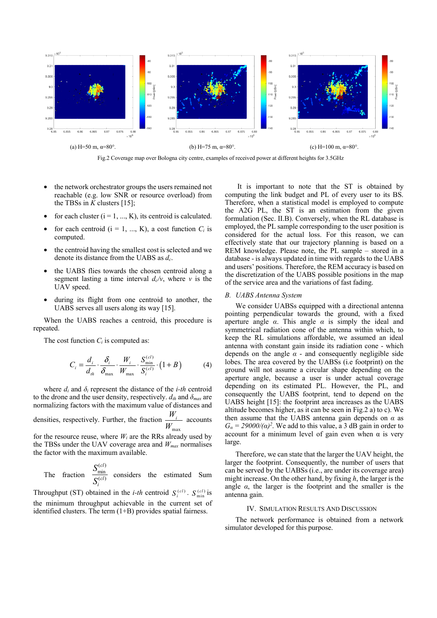

Fig.2 Coverage map over Bologna city centre, examples of received power at different heights for 3.5GHz

- the network orchestrator groups the users remained not reachable (e.g. low SNR or resource overload) from the TBSs in *K* clusters [15];
- for each cluster  $(i = 1, ..., K)$ , its centroid is calculated.
- for each centroid  $(i = 1, ..., K)$ , a cost function  $C_i$  is computed.
- the centroid having the smallest cost is selected and we denote its distance from the UABS as *dc*.
- the UABS flies towards the chosen centroid along a segment lasting a time interval  $d_c/v$ , where *v* is the UAV speed.
- during its flight from one centroid to another, the UABS serves all users along its way [15].

When the UABS reaches a centroid, this procedure is repeated.

The cost function  $C_i$  is computed as:

$$
C_i = \frac{d_i}{d_{ih}} \cdot \frac{\delta_i}{\delta_{\text{max}}} \cdot \frac{W_i}{W_{\text{max}}} \cdot \frac{S_{\text{min}}^{(cl)}}{S_i^{(cl)}} \cdot (1 + B) \tag{4}
$$

where  $d_i$  and  $\delta_i$  represent the distance of the *i-th* centroid to the drone and the user density, respectively.  $d_{th}$  and  $\delta_{max}$  are normalizing factors with the maximum value of distances and

densities, respectively. Further, the fraction max *Wi W* accounts

for the resource reuse, where  $W_i$  are the RRs already used by the TBSs under the UAV coverage area and  $W_{max}$  normalises the factor with the maximum available.

The fraction 
$$
\frac{S_{\text{min}}^{(cl)}}{S_i^{(cl)}}
$$
 considers the estimated Sum

Throughput (ST) obtained in the *i-th* centroid  $S_i^{(cl)}$ .  $S_{\min}^{(cl)}$  is the minimum throughput achievable in the current set of identified clusters. The term (1+B) provides spatial fairness.

 It is important to note that the ST is obtained by computing the link budget and PL of every user to its BS. Therefore, when a statistical model is employed to compute the A2G PL, the ST is an estimation from the given formulation (Sec. II.B). Conversely, when the RL database is employed, the PL sample corresponding to the user position is considered for the actual loss. For this reason, we can effectively state that our trajectory planning is based on a REM knowledge. Please note, the PL sample – stored in a database - is always updated in time with regards to the UABS and users' positions. Therefore, the REM accuracy is based on the discretization of the UABS possible positions in the map of the service area and the variations of fast fading.

#### *B. UABS Antenna System*

We consider UABSs equipped with a directional antenna pointing perpendicular towards the ground, with a fixed aperture angle *α*. This angle *α* is simply the ideal and symmetrical radiation cone of the antenna within which, to keep the RL simulations affordable, we assumed an ideal antenna with constant gain inside its radiation cone - which depends on the angle  $\alpha$  - and consequently negligible side lobes. The area covered by the UABSs (i.e footprint) on the ground will not assume a circular shape depending on the aperture angle, because a user is under actual coverage depending on its estimated PL. However, the PL, and consequently the UABS footprint, tend to depend on the UABS height [15]: the footprint area increases as the UABS altitude becomes higher, as it can be seen in Fig.2 a) to c). We then assume that the UABS antenna gain depends on  $\alpha$  as  $G_a = 29000/(a)^2$ . We add to this value, a 3 dB gain in order to account for a minimum level of gain even when  $\alpha$  is very large.

Therefore, we can state that the larger the UAV height, the larger the footprint. Consequently, the number of users that can be served by the UABSs (i.e., are under its coverage area) might increase. On the other hand, by fixing *h*, the larger is the angle  $\alpha$ , the larger is the footprint and the smaller is the antenna gain.

## IV. SIMULATION RESULTS AND DISCUSSION

The network performance is obtained from a network simulator developed for this purpose.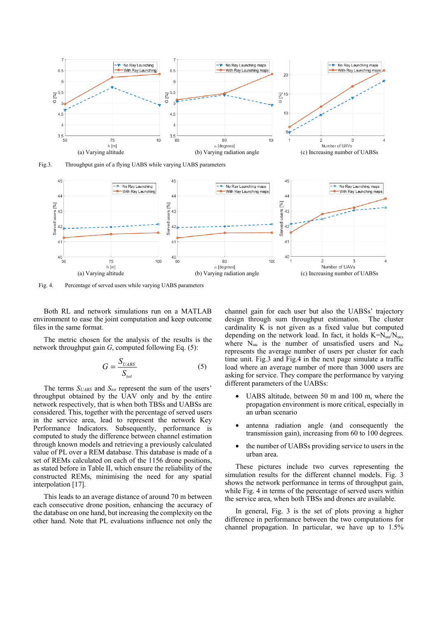

Fig.3. Throughput gain of a flying UABS while varying UABS parameters



Fig. 4. Percentage of served users while varying UABS parameters

Both RL and network simulations run on a MATLAB environment to ease the joint computation and keep outcome files in the same format.

The metric chosen for the analysis of the results is the network throughput gain *G*, computed following Eq. (5):

$$
G = \frac{S_{UABS}}{S_{tot}}\tag{5}
$$

The terms *SUABS* and *Stot* represent the sum of the users' throughput obtained by the UAV only and by the entire network respectively, that is when both TBSs and UABSs are considered. This, together with the percentage of served users in the service area, lead to represent the network Key Performance Indicators. Subsequently, performance is computed to study the difference between channel estimation through known models and retrieving a previously calculated value of PL over a REM database. This database is made of a set of REMs calculated on each of the 1156 drone positions, as stated before in Table II, which ensure the reliability of the constructed REMs, minimising the need for any spatial interpolation [17].

This leads to an average distance of around 70 m between each consecutive drone position, enhancing the accuracy of the database on one hand, but increasing the complexity on the other hand. Note that PL evaluations influence not only the channel gain for each user but also the UABSs' trajectory design through sum throughput estimation. The cluster cardinality K is not given as a fixed value but computed depending on the network load. In fact, it holds  $K=N_{uu}/N_{uc}$ , where  $N_{uu}$  is the number of unsatisfied users and  $N_{uc}$ represents the average number of users per cluster for each time unit. Fig.3 and Fig.4 in the next page simulate a traffic load where an average number of more than 3000 users are asking for service. They compare the performance by varying different parameters of the UABSs:

- UABS altitude, between 50 m and 100 m, where the propagation environment is more critical, especially in an urban scenario
- antenna radiation angle (and consequently the transmission gain), increasing from 60 to 100 degrees.
- the number of UABSs providing service to users in the urban area.

These pictures include two curves representing the simulation results for the different channel models. Fig. 3 shows the network performance in terms of throughput gain, while Fig. 4 in terms of the percentage of served users within the service area, when both TBSs and drones are available.

In general, Fig. 3 is the set of plots proving a higher difference in performance between the two computations for channel propagation. In particular, we have up to 1.5%